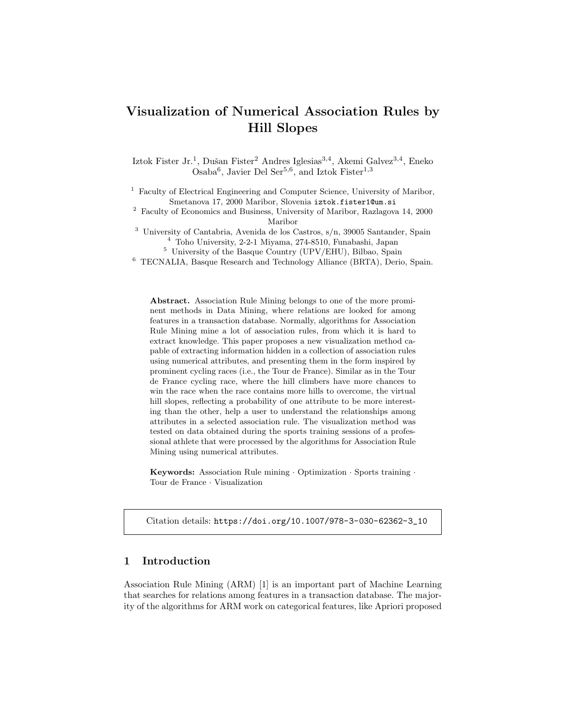# Visualization of Numerical Association Rules by Hill Slopes

Iztok Fister Jr.<sup>1</sup>, Dušan Fister<sup>2</sup> Andres Iglesias<sup>3,4</sup>, Akemi Galvez<sup>3,4</sup>, Eneko Osaba<sup>6</sup>, Javier Del Ser<sup>5,6</sup>, and Iztok Fister<sup>1,3</sup>

<sup>1</sup> Faculty of Electrical Engineering and Computer Science, University of Maribor, Smetanova 17, 2000 Maribor, Slovenia iztok.fister1@um.si

<sup>2</sup> Faculty of Economics and Business, University of Maribor, Razlagova 14, 2000 Maribor

<sup>3</sup> University of Cantabria, Avenida de los Castros, s/n, 39005 Santander, Spain <sup>4</sup> Toho University, 2-2-1 Miyama, 274-8510, Funabashi, Japan

<sup>5</sup> University of the Basque Country (UPV/EHU), Bilbao, Spain

<sup>6</sup> TECNALIA, Basque Research and Technology Alliance (BRTA), Derio, Spain.

Abstract. Association Rule Mining belongs to one of the more prominent methods in Data Mining, where relations are looked for among features in a transaction database. Normally, algorithms for Association Rule Mining mine a lot of association rules, from which it is hard to extract knowledge. This paper proposes a new visualization method capable of extracting information hidden in a collection of association rules using numerical attributes, and presenting them in the form inspired by prominent cycling races (i.e., the Tour de France). Similar as in the Tour de France cycling race, where the hill climbers have more chances to win the race when the race contains more hills to overcome, the virtual hill slopes, reflecting a probability of one attribute to be more interesting than the other, help a user to understand the relationships among attributes in a selected association rule. The visualization method was tested on data obtained during the sports training sessions of a professional athlete that were processed by the algorithms for Association Rule Mining using numerical attributes.

Keywords: Association Rule mining · Optimization · Sports training · Tour de France · Visualization

Citation details: https://doi.org/10.1007/978-3-030-62362-3\_10

# 1 Introduction

Association Rule Mining (ARM) [1] is an important part of Machine Learning that searches for relations among features in a transaction database. The majority of the algorithms for ARM work on categorical features, like Apriori proposed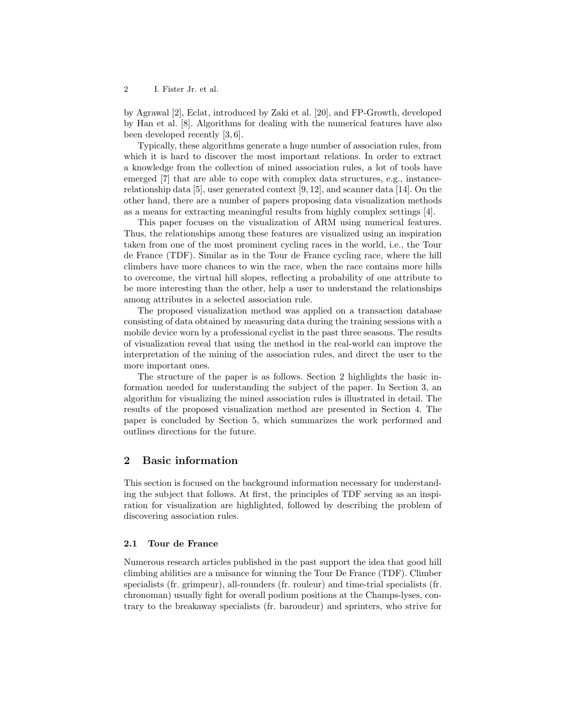2 I. Fister Jr. et al.

by Agrawal [2], Eclat, introduced by Zaki et al. [20], and FP-Growth, developed by Han et al. [8]. Algorithms for dealing with the numerical features have also been developed recently [3, 6].

Typically, these algorithms generate a huge number of association rules, from which it is hard to discover the most important relations. In order to extract a knowledge from the collection of mined association rules, a lot of tools have emerged [7] that are able to cope with complex data structures, e.g., instancerelationship data [5], user generated context [9, 12], and scanner data [14]. On the other hand, there are a number of papers proposing data visualization methods as a means for extracting meaningful results from highly complex settings [4].

This paper focuses on the visualization of ARM using numerical features. Thus, the relationships among these features are visualized using an inspiration taken from one of the most prominent cycling races in the world, i.e., the Tour de France (TDF). Similar as in the Tour de France cycling race, where the hill climbers have more chances to win the race, when the race contains more hills to overcome, the virtual hill slopes, reflecting a probability of one attribute to be more interesting than the other, help a user to understand the relationships among attributes in a selected association rule.

The proposed visualization method was applied on a transaction database consisting of data obtained by measuring data during the training sessions with a mobile device worn by a professional cyclist in the past three seasons. The results of visualization reveal that using the method in the real-world can improve the interpretation of the mining of the association rules, and direct the user to the more important ones.

The structure of the paper is as follows. Section 2 highlights the basic information needed for understanding the subject of the paper. In Section 3, an algorithm for visualizing the mined association rules is illustrated in detail. The results of the proposed visualization method are presented in Section 4. The paper is concluded by Section 5, which summarizes the work performed and outlines directions for the future.

# 2 Basic information

This section is focused on the background information necessary for understanding the subject that follows. At first, the principles of TDF serving as an inspiration for visualization are highlighted, followed by describing the problem of discovering association rules.

### 2.1 Tour de France

Numerous research articles published in the past support the idea that good hill climbing abilities are a nuisance for winning the Tour De France (TDF). Climber specialists (fr. grimpeur), all-rounders (fr. rouleur) and time-trial specialists (fr. chronoman) usually fight for overall podium positions at the Champs-lyses, contrary to the breakaway specialists (fr. baroudeur) and sprinters, who strive for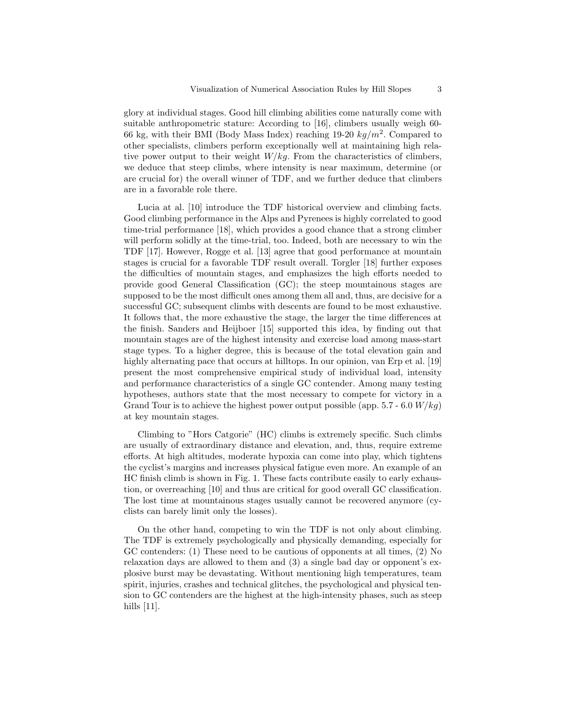glory at individual stages. Good hill climbing abilities come naturally come with suitable anthropometric stature: According to [16], climbers usually weigh 60- 66 kg, with their BMI (Body Mass Index) reaching  $19-20\ kg/m^2$ . Compared to other specialists, climbers perform exceptionally well at maintaining high relative power output to their weight  $W/kg$ . From the characteristics of climbers, we deduce that steep climbs, where intensity is near maximum, determine (or are crucial for) the overall winner of TDF, and we further deduce that climbers are in a favorable role there.

Lucia at al. [10] introduce the TDF historical overview and climbing facts. Good climbing performance in the Alps and Pyrenees is highly correlated to good time-trial performance [18], which provides a good chance that a strong climber will perform solidly at the time-trial, too. Indeed, both are necessary to win the TDF [17]. However, Rogge et al. [13] agree that good performance at mountain stages is crucial for a favorable TDF result overall. Torgler [18] further exposes the difficulties of mountain stages, and emphasizes the high efforts needed to provide good General Classification (GC); the steep mountainous stages are supposed to be the most difficult ones among them all and, thus, are decisive for a successful GC; subsequent climbs with descents are found to be most exhaustive. It follows that, the more exhaustive the stage, the larger the time differences at the finish. Sanders and Heijboer [15] supported this idea, by finding out that mountain stages are of the highest intensity and exercise load among mass-start stage types. To a higher degree, this is because of the total elevation gain and highly alternating pace that occurs at hilltops. In our opinion, van Erp et al. [19] present the most comprehensive empirical study of individual load, intensity and performance characteristics of a single GC contender. Among many testing hypotheses, authors state that the most necessary to compete for victory in a Grand Tour is to achieve the highest power output possible (app.  $5.7 - 6.0$  W/kg) at key mountain stages.

Climbing to "Hors Catgorie" (HC) climbs is extremely specific. Such climbs are usually of extraordinary distance and elevation, and, thus, require extreme efforts. At high altitudes, moderate hypoxia can come into play, which tightens the cyclist's margins and increases physical fatigue even more. An example of an HC finish climb is shown in Fig. 1. These facts contribute easily to early exhaustion, or overreaching [10] and thus are critical for good overall GC classification. The lost time at mountainous stages usually cannot be recovered anymore (cyclists can barely limit only the losses).

On the other hand, competing to win the TDF is not only about climbing. The TDF is extremely psychologically and physically demanding, especially for GC contenders: (1) These need to be cautious of opponents at all times, (2) No relaxation days are allowed to them and (3) a single bad day or opponent's explosive burst may be devastating. Without mentioning high temperatures, team spirit, injuries, crashes and technical glitches, the psychological and physical tension to GC contenders are the highest at the high-intensity phases, such as steep hills [11].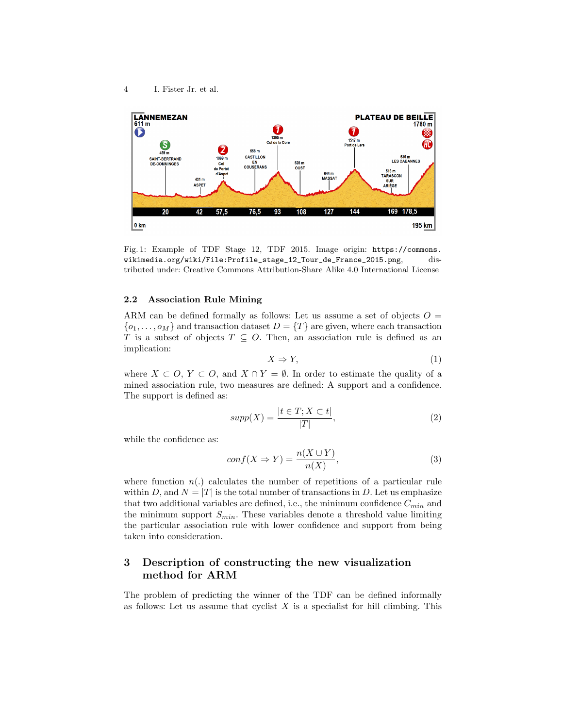

Fig. 1: Example of TDF Stage 12, TDF 2015. Image origin: https://commons. wikimedia.org/wiki/File:Profile\_stage\_12\_Tour\_de\_France\_2015.png, distributed under: Creative Commons Attribution-Share Alike 4.0 International License

### 2.2 Association Rule Mining

ARM can be defined formally as follows: Let us assume a set of objects  $O =$  $\{o_1, \ldots, o_M\}$  and transaction dataset  $D = \{T\}$  are given, where each transaction T is a subset of objects  $T \subseteq O$ . Then, an association rule is defined as an implication:

$$
X \Rightarrow Y,\tag{1}
$$

where  $X \subset O, Y \subset O$ , and  $X \cap Y = \emptyset$ . In order to estimate the quality of a mined association rule, two measures are defined: A support and a confidence. The support is defined as:

$$
supp(X) = \frac{|t \in T; X \subset t|}{|T|},\tag{2}
$$

while the confidence as:

$$
conf(X \Rightarrow Y) = \frac{n(X \cup Y)}{n(X)},
$$
\n(3)

where function  $n(.)$  calculates the number of repetitions of a particular rule within D, and  $N = |T|$  is the total number of transactions in D. Let us emphasize that two additional variables are defined, i.e., the minimum confidence  $C_{min}$  and the minimum support  $S_{min}$ . These variables denote a threshold value limiting the particular association rule with lower confidence and support from being taken into consideration.

# 3 Description of constructing the new visualization method for ARM

The problem of predicting the winner of the TDF can be defined informally as follows: Let us assume that cyclist  $X$  is a specialist for hill climbing. This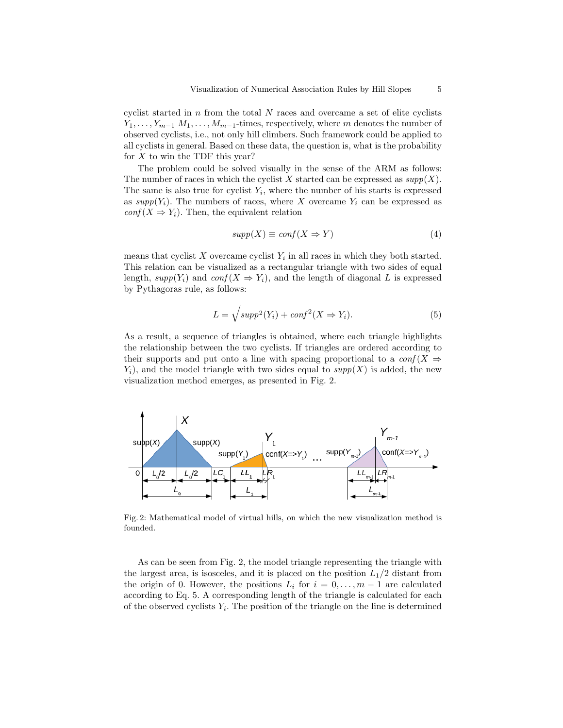cyclist started in  $n$  from the total  $N$  races and overcame a set of elite cyclists  $Y_1, \ldots, Y_{m-1}$   $M_1, \ldots, M_{m-1}$ -times, respectively, where m denotes the number of observed cyclists, i.e., not only hill climbers. Such framework could be applied to all cyclists in general. Based on these data, the question is, what is the probability for  $X$  to win the TDF this year?

The problem could be solved visually in the sense of the ARM as follows: The number of races in which the cyclist X started can be expressed as  $supp(X)$ . The same is also true for cyclist  $Y_i$ , where the number of his starts is expressed as  $supp(Y_i)$ . The numbers of races, where X overcame  $Y_i$  can be expressed as  $conf(X \Rightarrow Y_i)$ . Then, the equivalent relation

$$
supp(X) \equiv conf(X \Rightarrow Y) \tag{4}
$$

means that cyclist  $X$  overcame cyclist  $Y_i$  in all races in which they both started. This relation can be visualized as a rectangular triangle with two sides of equal length,  $supp(Y_i)$  and  $conf(X \Rightarrow Y_i)$ , and the length of diagonal L is expressed by Pythagoras rule, as follows:

$$
L = \sqrt{supp^{2}(Y_{i}) + conf^{2}(X \Rightarrow Y_{i})}.
$$
\n(5)

As a result, a sequence of triangles is obtained, where each triangle highlights the relationship between the two cyclists. If triangles are ordered according to their supports and put onto a line with spacing proportional to a  $\text{conf}(X \Rightarrow$  $Y_i$ , and the model triangle with two sides equal to  $supp(X)$  is added, the new visualization method emerges, as presented in Fig. 2.



Fig. 2: Mathematical model of virtual hills, on which the new visualization method is founded.

As can be seen from Fig. 2, the model triangle representing the triangle with the largest area, is isosceles, and it is placed on the position  $L_1/2$  distant from the origin of 0. However, the positions  $L_i$  for  $i = 0, \ldots, m-1$  are calculated according to Eq. 5. A corresponding length of the triangle is calculated for each of the observed cyclists  $Y_i$ . The position of the triangle on the line is determined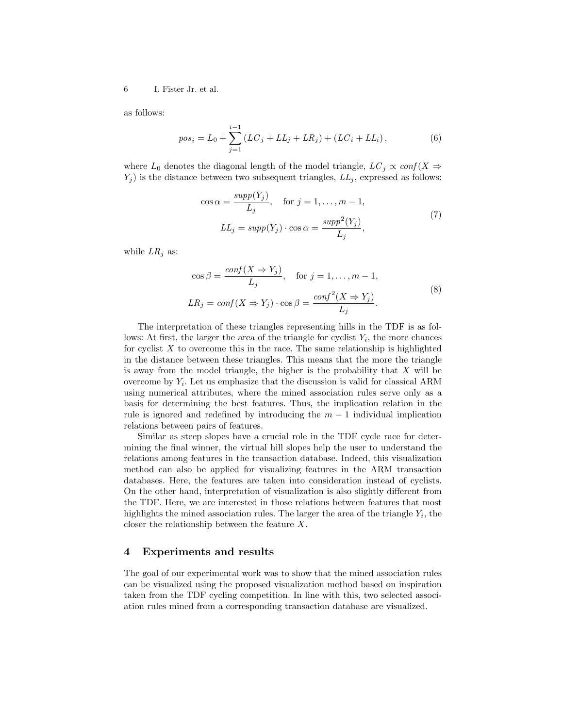6 I. Fister Jr. et al.

as follows:

$$
pos_i = L_0 + \sum_{j=1}^{i-1} (LC_j + LL_j + LR_j) + (LC_i + LL_i),
$$
\n(6)

where  $L_0$  denotes the diagonal length of the model triangle,  $LC_j \propto \text{conf}(X \Rightarrow$  $Y_i$ ) is the distance between two subsequent triangles,  $LL_i$ , expressed as follows:

$$
\cos \alpha = \frac{\sup p(Y_j)}{L_j}, \quad \text{for } j = 1, \dots, m - 1,
$$
  

$$
LL_j = \sup p(Y_j) \cdot \cos \alpha = \frac{\sup p^2(Y_j)}{L_j},
$$
 (7)

while  $LR_i$  as:

$$
\cos \beta = \frac{\text{conf}(X \Rightarrow Y_j)}{L_j}, \quad \text{for } j = 1, ..., m - 1,
$$
  

$$
LR_j = \text{conf}(X \Rightarrow Y_j) \cdot \cos \beta = \frac{\text{conf}^2(X \Rightarrow Y_j)}{L_j}.
$$
 (8)

The interpretation of these triangles representing hills in the TDF is as follows: At first, the larger the area of the triangle for cyclist  $Y_i$ , the more chances for cyclist  $X$  to overcome this in the race. The same relationship is highlighted in the distance between these triangles. This means that the more the triangle is away from the model triangle, the higher is the probability that  $X$  will be overcome by  $Y_i$ . Let us emphasize that the discussion is valid for classical ARM using numerical attributes, where the mined association rules serve only as a basis for determining the best features. Thus, the implication relation in the rule is ignored and redefined by introducing the  $m-1$  individual implication relations between pairs of features.

Similar as steep slopes have a crucial role in the TDF cycle race for determining the final winner, the virtual hill slopes help the user to understand the relations among features in the transaction database. Indeed, this visualization method can also be applied for visualizing features in the ARM transaction databases. Here, the features are taken into consideration instead of cyclists. On the other hand, interpretation of visualization is also slightly different from the TDF. Here, we are interested in those relations between features that most highlights the mined association rules. The larger the area of the triangle  $Y_i$ , the closer the relationship between the feature X.

### 4 Experiments and results

The goal of our experimental work was to show that the mined association rules can be visualized using the proposed visualization method based on inspiration taken from the TDF cycling competition. In line with this, two selected association rules mined from a corresponding transaction database are visualized.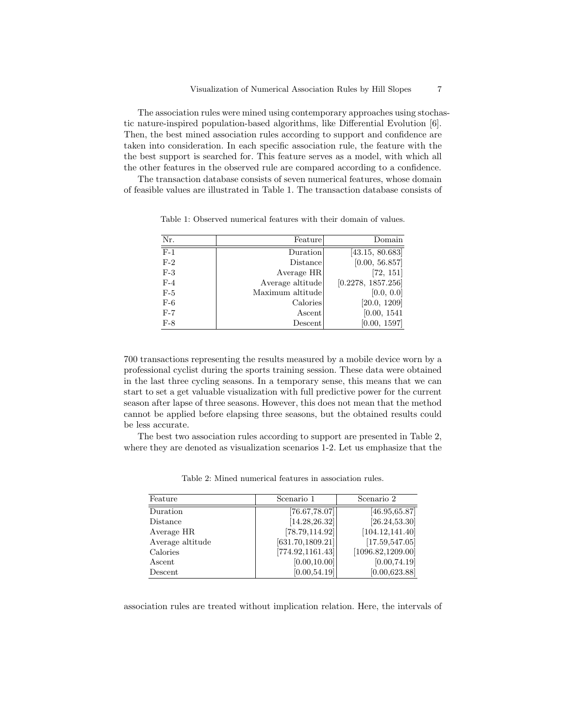The association rules were mined using contemporary approaches using stochastic nature-inspired population-based algorithms, like Differential Evolution [6]. Then, the best mined association rules according to support and confidence are taken into consideration. In each specific association rule, the feature with the the best support is searched for. This feature serves as a model, with which all the other features in the observed rule are compared according to a confidence.

The transaction database consists of seven numerical features, whose domain of feasible values are illustrated in Table 1. The transaction database consists of

| Nr.   | Feature          | Domain             |
|-------|------------------|--------------------|
| $F-1$ | Duration         | [43.15, 80.683]    |
| $F-2$ | Distance         | [0.00, 56.857]     |
| $F-3$ | Average HR       | [72, 151]          |
| $F-4$ | Average altitude | [0.2278, 1857.256] |
| $F-5$ | Maximum altitude | [0.0, 0.0]         |
| $F-6$ | Calories         | [20.0, 1209]       |
| $F-7$ | Ascent           | [0.00, 1541]       |
| $F-8$ | Descent          | [0.00, 1597]       |

Table 1: Observed numerical features with their domain of values.

700 transactions representing the results measured by a mobile device worn by a professional cyclist during the sports training session. These data were obtained in the last three cycling seasons. In a temporary sense, this means that we can start to set a get valuable visualization with full predictive power for the current season after lapse of three seasons. However, this does not mean that the method cannot be applied before elapsing three seasons, but the obtained results could be less accurate.

The best two association rules according to support are presented in Table 2, where they are denoted as visualization scenarios 1-2. Let us emphasize that the

| Feature          | Scenario 1        | Scenario 2         |
|------------------|-------------------|--------------------|
| Duration         | [76.67, 78.07]    | [46.95, 65.87]     |
| Distance         | [14.28, 26.32]    | [26.24, 53.30]     |
| Average HR       | [78.79, 114.92]   | [104.12, 141.40]   |
| Average altitude | [631.70, 1809.21] | [17.59, 547.05]    |
| Calories         | [774.92, 1161.43] | [1096.82, 1209.00] |
| Ascent           | [0.00, 10.00]     | [0.00, 74.19]      |
| Descent          | [0.00, 54.19]     | [0.00, 623.88]     |

Table 2: Mined numerical features in association rules.

association rules are treated without implication relation. Here, the intervals of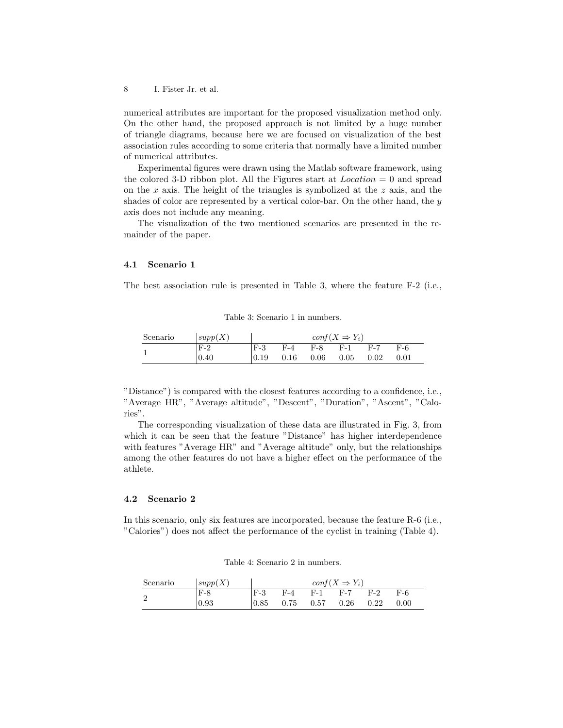8 I. Fister Jr. et al.

numerical attributes are important for the proposed visualization method only. On the other hand, the proposed approach is not limited by a huge number of triangle diagrams, because here we are focused on visualization of the best association rules according to some criteria that normally have a limited number of numerical attributes.

Experimental figures were drawn using the Matlab software framework, using the colored 3-D ribbon plot. All the Figures start at  $Location = 0$  and spread on the  $x$  axis. The height of the triangles is symbolized at the  $z$  axis, and the shades of color are represented by a vertical color-bar. On the other hand, the  $y$ axis does not include any meaning.

The visualization of the two mentioned scenarios are presented in the remainder of the paper.

#### 4.1 Scenario 1

The best association rule is presented in Table 3, where the feature F-2 (i.e.,

#### Table 3: Scenario 1 in numbers.

| Scenario | supp(X)        | $conf(X \Rightarrow Y_i)$ |       |             |      |      |      |
|----------|----------------|---------------------------|-------|-------------|------|------|------|
|          | $F-2$          | $F-3$                     | $F-4$ | $F-8$ $F-1$ |      | F-7  | F-6  |
|          | $ 0.40\rangle$ | 0.19                      | 0.16  | 0.06        | 0.05 | 0.02 | 0.01 |

"Distance") is compared with the closest features according to a confidence, i.e., "Average HR", "Average altitude", "Descent", "Duration", "Ascent", "Calories".

The corresponding visualization of these data are illustrated in Fig. 3, from which it can be seen that the feature "Distance" has higher interdependence with features "Average HR" and "Average altitude" only, but the relationships among the other features do not have a higher effect on the performance of the athlete.

#### 4.2 Scenario 2

In this scenario, only six features are incorporated, because the feature R-6 (i.e., "Calories") does not affect the performance of the cyclist in training (Table 4).

Table 4: Scenario 2 in numbers.

| Scenario | supp(X) | $conf(X \Rightarrow Y_i)$ |       |             |      |       |       |
|----------|---------|---------------------------|-------|-------------|------|-------|-------|
|          | $F-8$   | $F-3$                     | $F-4$ | $F-1$ $F-7$ |      | $F-2$ | $F-6$ |
|          | 0.93    | 0.85                      | 0.75  | 0.57        | 0.26 | 0.22  | 0.00  |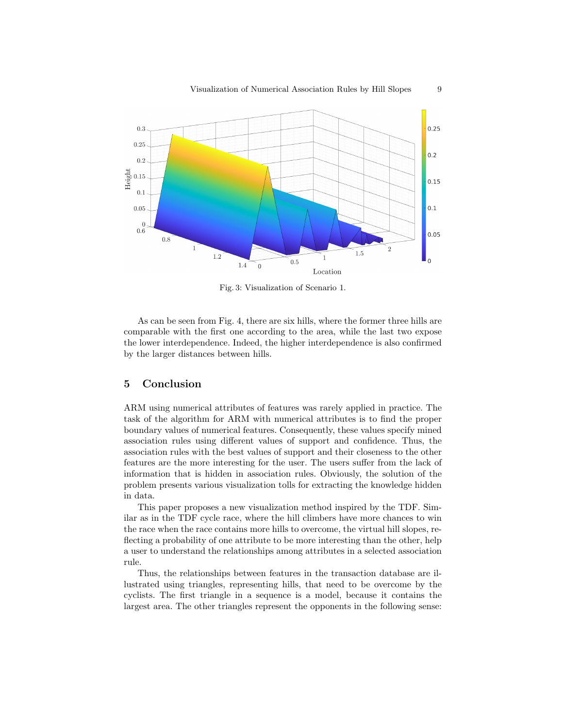

Fig. 3: Visualization of Scenario 1.

As can be seen from Fig. 4, there are six hills, where the former three hills are comparable with the first one according to the area, while the last two expose the lower interdependence. Indeed, the higher interdependence is also confirmed by the larger distances between hills.

# 5 Conclusion

ARM using numerical attributes of features was rarely applied in practice. The task of the algorithm for ARM with numerical attributes is to find the proper boundary values of numerical features. Consequently, these values specify mined association rules using different values of support and confidence. Thus, the association rules with the best values of support and their closeness to the other features are the more interesting for the user. The users suffer from the lack of information that is hidden in association rules. Obviously, the solution of the problem presents various visualization tolls for extracting the knowledge hidden in data.

This paper proposes a new visualization method inspired by the TDF. Similar as in the TDF cycle race, where the hill climbers have more chances to win the race when the race contains more hills to overcome, the virtual hill slopes, reflecting a probability of one attribute to be more interesting than the other, help a user to understand the relationships among attributes in a selected association rule.

Thus, the relationships between features in the transaction database are illustrated using triangles, representing hills, that need to be overcome by the cyclists. The first triangle in a sequence is a model, because it contains the largest area. The other triangles represent the opponents in the following sense: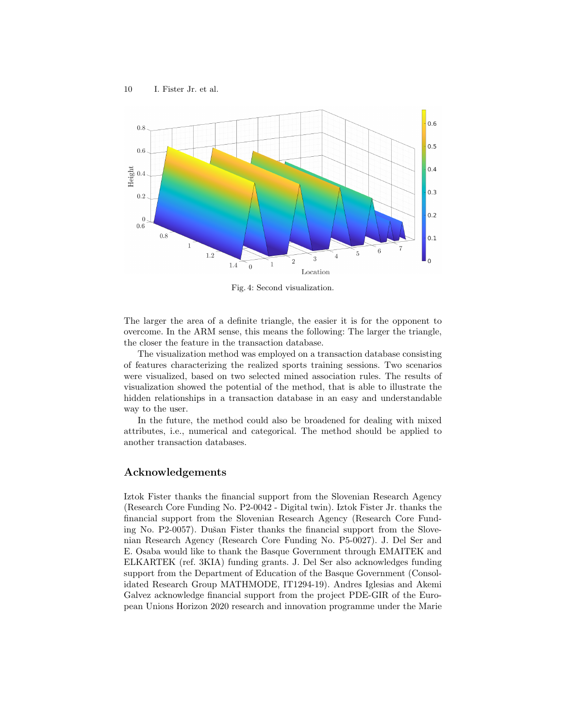

Fig. 4: Second visualization.

The larger the area of a definite triangle, the easier it is for the opponent to overcome. In the ARM sense, this means the following: The larger the triangle, the closer the feature in the transaction database.

The visualization method was employed on a transaction database consisting of features characterizing the realized sports training sessions. Two scenarios were visualized, based on two selected mined association rules. The results of visualization showed the potential of the method, that is able to illustrate the hidden relationships in a transaction database in an easy and understandable way to the user.

In the future, the method could also be broadened for dealing with mixed attributes, i.e., numerical and categorical. The method should be applied to another transaction databases.

### Acknowledgements

Iztok Fister thanks the financial support from the Slovenian Research Agency (Research Core Funding No. P2-0042 - Digital twin). Iztok Fister Jr. thanks the financial support from the Slovenian Research Agency (Research Core Funding No. P2-0057). Dušan Fister thanks the financial support from the Slovenian Research Agency (Research Core Funding No. P5-0027). J. Del Ser and E. Osaba would like to thank the Basque Government through EMAITEK and ELKARTEK (ref. 3KIA) funding grants. J. Del Ser also acknowledges funding support from the Department of Education of the Basque Government (Consolidated Research Group MATHMODE, IT1294-19). Andres Iglesias and Akemi Galvez acknowledge financial support from the project PDE-GIR of the European Unions Horizon 2020 research and innovation programme under the Marie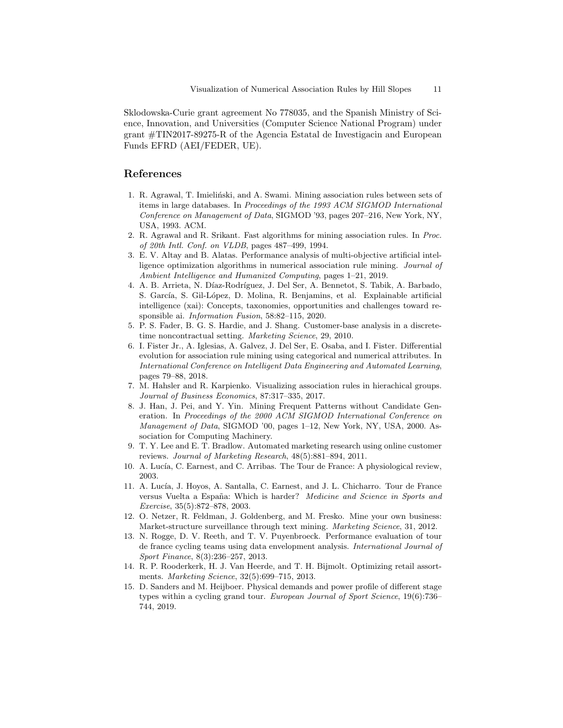Sklodowska-Curie grant agreement No 778035, and the Spanish Ministry of Science, Innovation, and Universities (Computer Science National Program) under grant #TIN2017-89275-R of the Agencia Estatal de Investigacin and European Funds EFRD (AEI/FEDER, UE).

## References

- 1. R. Agrawal, T. Imieliński, and A. Swami. Mining association rules between sets of items in large databases. In Proceedings of the 1993 ACM SIGMOD International Conference on Management of Data, SIGMOD '93, pages 207–216, New York, NY, USA, 1993. ACM.
- 2. R. Agrawal and R. Srikant. Fast algorithms for mining association rules. In Proc. of 20th Intl. Conf. on VLDB, pages 487–499, 1994.
- 3. E. V. Altay and B. Alatas. Performance analysis of multi-objective artificial intelligence optimization algorithms in numerical association rule mining. Journal of Ambient Intelligence and Humanized Computing, pages 1–21, 2019.
- 4. A. B. Arrieta, N. Díaz-Rodríguez, J. Del Ser, A. Bennetot, S. Tabik, A. Barbado, S. García, S. Gil-López, D. Molina, R. Benjamins, et al. Explainable artificial intelligence (xai): Concepts, taxonomies, opportunities and challenges toward responsible ai. Information Fusion, 58:82–115, 2020.
- 5. P. S. Fader, B. G. S. Hardie, and J. Shang. Customer-base analysis in a discretetime noncontractual setting. Marketing Science, 29, 2010.
- 6. I. Fister Jr., A. Iglesias, A. Galvez, J. Del Ser, E. Osaba, and I. Fister. Differential evolution for association rule mining using categorical and numerical attributes. In International Conference on Intelligent Data Engineering and Automated Learning, pages 79–88, 2018.
- 7. M. Hahsler and R. Karpienko. Visualizing association rules in hierachical groups. Journal of Business Economics, 87:317–335, 2017.
- 8. J. Han, J. Pei, and Y. Yin. Mining Frequent Patterns without Candidate Generation. In Proceedings of the 2000 ACM SIGMOD International Conference on Management of Data, SIGMOD '00, pages 1–12, New York, NY, USA, 2000. Association for Computing Machinery.
- 9. T. Y. Lee and E. T. Bradlow. Automated marketing research using online customer reviews. Journal of Marketing Research, 48(5):881–894, 2011.
- 10. A. Lucía, C. Earnest, and C. Arribas. The Tour de France: A physiological review, 2003.
- 11. A. Lucía, J. Hoyos, A. Santalla, C. Earnest, and J. L. Chicharro. Tour de France versus Vuelta a España: Which is harder? *Medicine and Science in Sports and* Exercise, 35(5):872–878, 2003.
- 12. O. Netzer, R. Feldman, J. Goldenberg, and M. Fresko. Mine your own business: Market-structure surveillance through text mining. Marketing Science, 31, 2012.
- 13. N. Rogge, D. V. Reeth, and T. V. Puyenbroeck. Performance evaluation of tour de france cycling teams using data envelopment analysis. International Journal of Sport Finance, 8(3):236–257, 2013.
- 14. R. P. Rooderkerk, H. J. Van Heerde, and T. H. Bijmolt. Optimizing retail assortments. Marketing Science, 32(5):699–715, 2013.
- 15. D. Sanders and M. Heijboer. Physical demands and power profile of different stage types within a cycling grand tour. European Journal of Sport Science, 19(6):736– 744, 2019.